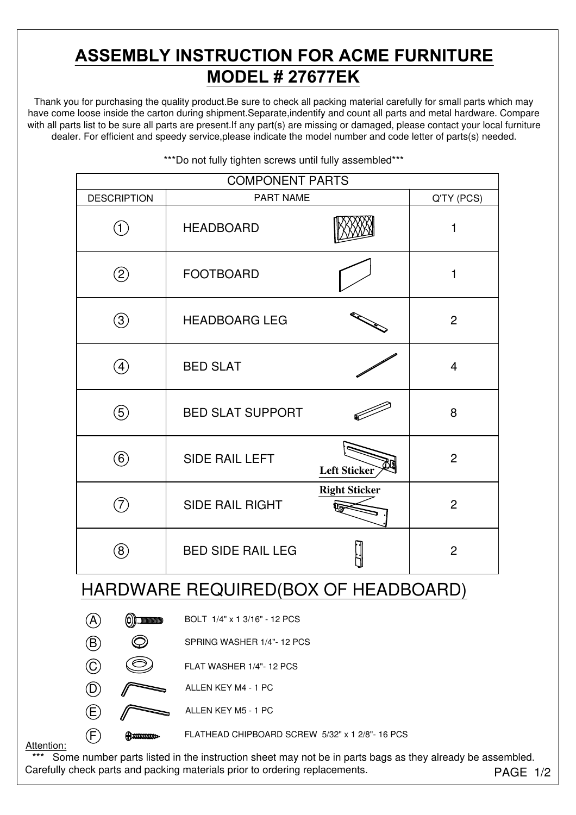# **ASSEMBLY INSTRUCTION FOR ACME FURNITURE MODEL # 27677EK**

Thank you for purchasing the quality product.Be sure to check all packing material carefully for small parts which may have come loose inside the carton during shipment.Separate,indentify and count all parts and metal hardware. Compare with all parts list to be sure all parts are present. If any part(s) are missing or damaged, please contact your local furniture dealer. For efficient and speedy service,please indicate the model number and code letter of parts(s) needed.

| <b>COMPONENT PARTS</b>                        |                              |                      |                |  |
|-----------------------------------------------|------------------------------|----------------------|----------------|--|
| <b>DESCRIPTION</b>                            | <b>PART NAME</b>             |                      | Q'TY (PCS)     |  |
| $\left(\text{1}\right)$                       | <b>HEADBOARD</b>             |                      | 1              |  |
| $\circled{2}$                                 | <b>FOOTBOARD</b>             |                      | $\mathbf{1}$   |  |
| $\circledS$                                   | <b>HEADBOARG LEG</b>         |                      | $\overline{2}$ |  |
| $\bigoplus$                                   | <b>BED SLAT</b>              |                      | $\overline{4}$ |  |
| 5                                             | <b>BED SLAT SUPPORT</b>      |                      | 8              |  |
| $\circled6$                                   | <b>SIDE RAIL LEFT</b>        | Left Sticker         | $\overline{2}$ |  |
| (7)                                           | <b>SIDE RAIL RIGHT</b>       | <b>Right Sticker</b> | $\overline{2}$ |  |
| $\circledS$                                   | <b>BED SIDE RAIL LEG</b>     |                      | $\overline{2}$ |  |
| HARDWARE REQUIRED(BOX OF HEADBOARD)           |                              |                      |                |  |
| $\circledcirc$ ) minimum<br>$\left( A\right)$ | BOLT 1/4" x 1 3/16" - 12 PCS |                      |                |  |
| $\bigcirc$                                    | SPRING WASHER 1/4"-12 PCS    |                      |                |  |

\*\*\*Do not fully tighten screws until fully assembled\*\*\*



 $\overline{E}$  ALLEN KEY M5 - 1 PC

 $(F)$  **CHIPBOARD SCREW 5/32"** x 1 2/8"-16 PCS

Attention:

PAGE 1/2 \*\*\* Some number parts listed in the instruction sheet may not be in parts bags as they already be assembled. Carefully check parts and packing materials prior to ordering replacements.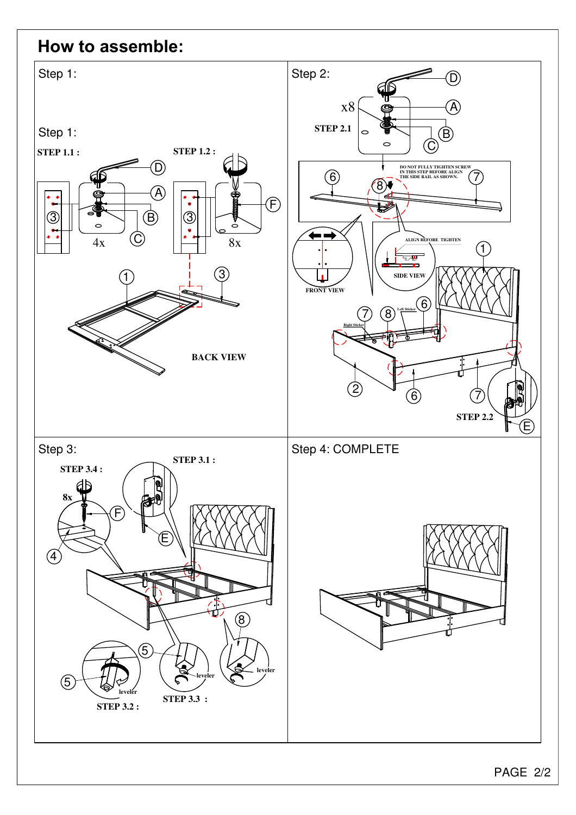### **How to assemble:**

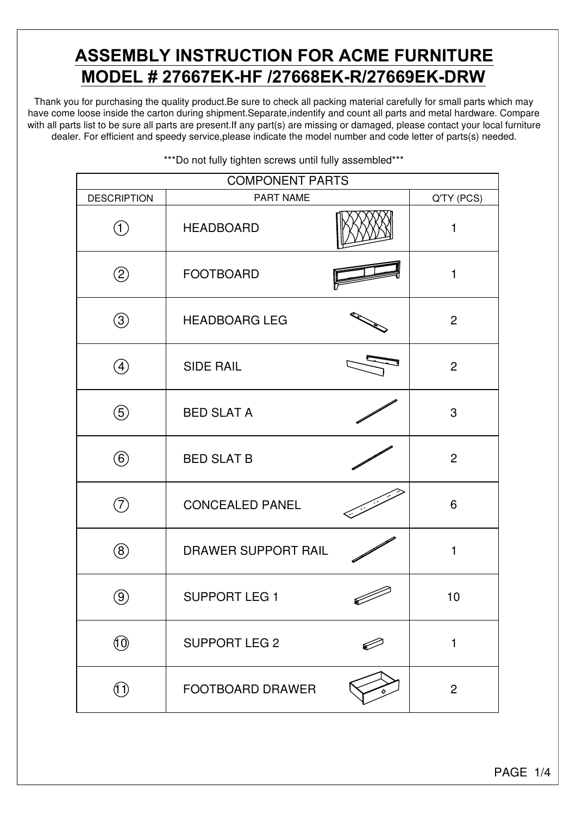## **ASSEMBLY INSTRUCTION FOR ACME FURNITURE MODEL # 27667EK-HF /27668EK-R/27669EK-DRW**

Thank you for purchasing the quality product.Be sure to check all packing material carefully for small parts which may have come loose inside the carton during shipment.Separate,indentify and count all parts and metal hardware. Compare with all parts list to be sure all parts are present. If any part(s) are missing or damaged, please contact your local furniture dealer. For efficient and speedy service,please indicate the model number and code letter of parts(s) needed.

| <b>COMPONENT PARTS</b> |                         |  |                |  |
|------------------------|-------------------------|--|----------------|--|
| <b>DESCRIPTION</b>     | <b>PART NAME</b>        |  | Q'TY (PCS)     |  |
| (1)                    | <b>HEADBOARD</b>        |  | 1              |  |
| $\circled{2}$          | <b>FOOTBOARD</b>        |  | 1              |  |
| $\circledS$            | <b>HEADBOARG LEG</b>    |  | 2              |  |
| $\left( 4\right)$      | <b>SIDE RAIL</b>        |  | 2              |  |
| $\circledS$            | <b>BED SLAT A</b>       |  | 3              |  |
| $^\copyright$          | <b>BED SLAT B</b>       |  | 2              |  |
| 7,                     | <b>CONCEALED PANEL</b>  |  | 6              |  |
| $\left( 8\right)$      | DRAWER SUPPORT RAIL     |  | $\mathbf{1}$   |  |
| $\left(9\right)$       | <b>SUPPORT LEG 1</b>    |  | 10             |  |
| $\left( 0 \right)$     | <b>SUPPORT LEG 2</b>    |  | $\mathbf{1}$   |  |
| (Î Ì)                  | <b>FOOTBOARD DRAWER</b> |  | $\overline{2}$ |  |

\*\*\*Do not fully tighten screws until fully assembled\*\*\*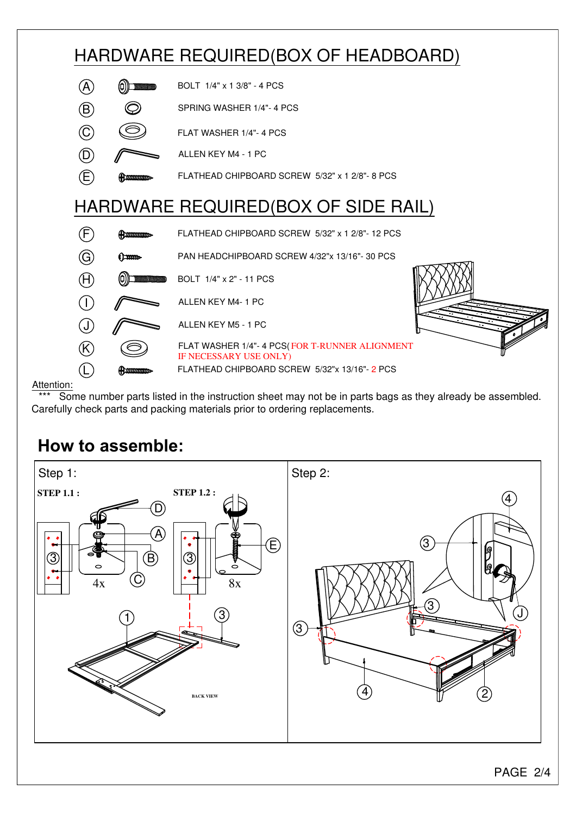

#### Attention:

\*\*\* Some number parts listed in the instruction sheet may not be in parts bags as they already be assembled. Carefully check parts and packing materials prior to ordering replacements.

## **How to assemble:**

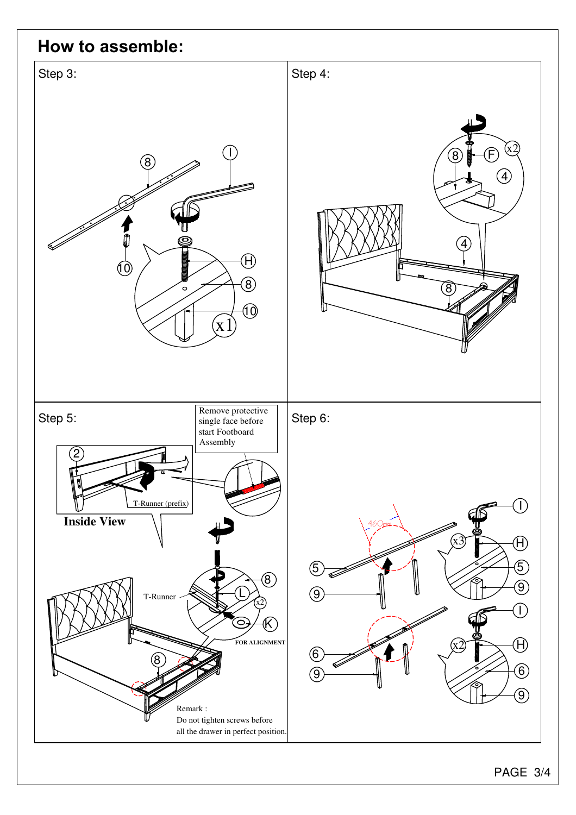### **How to assemble:**